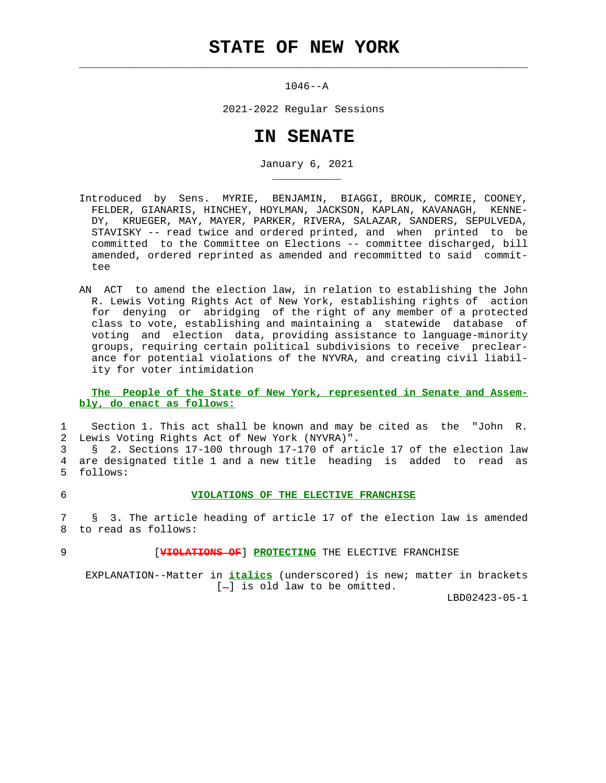## **STATE OF NEW YORK**

 $\mathcal{L}_\text{max} = \frac{1}{2} \sum_{i=1}^{n} \frac{1}{2} \sum_{i=1}^{n} \frac{1}{2} \sum_{i=1}^{n} \frac{1}{2} \sum_{i=1}^{n} \frac{1}{2} \sum_{i=1}^{n} \frac{1}{2} \sum_{i=1}^{n} \frac{1}{2} \sum_{i=1}^{n} \frac{1}{2} \sum_{i=1}^{n} \frac{1}{2} \sum_{i=1}^{n} \frac{1}{2} \sum_{i=1}^{n} \frac{1}{2} \sum_{i=1}^{n} \frac{1}{2} \sum_{i=1}^{n} \frac{1$ 

\_\_\_\_\_\_\_\_\_\_\_

 $1046 - -A$ 

2021-2022 Regular Sessions

## **IN SENATE**

January 6, 2021

- Introduced by Sens. MYRIE, BENJAMIN, BIAGGI, BROUK, COMRIE, COONEY, FELDER, GIANARIS, HINCHEY, HOYLMAN, JACKSON, KAPLAN, KAVANAGH, KENNE- DY, KRUEGER, MAY, MAYER, PARKER, RIVERA, SALAZAR, SANDERS, SEPULVEDA, STAVISKY -- read twice and ordered printed, and when printed to be committed to the Committee on Elections -- committee discharged, bill amended, ordered reprinted as amended and recommitted to said commit tee
- AN ACT to amend the election law, in relation to establishing the John R. Lewis Voting Rights Act of New York, establishing rights of action for denying or abridging of the right of any member of a protected class to vote, establishing and maintaining a statewide database of voting and election data, providing assistance to language-minority groups, requiring certain political subdivisions to receive preclear ance for potential violations of the NYVRA, and creating civil liabil ity for voter intimidation

 **The People of the State of New York, represented in Senate and Assem bly, do enact as follows:**

 1 Section 1. This act shall be known and may be cited as the "John R. 2 Lewis Voting Rights Act of New York (NYVRA)".

 3 § 2. Sections 17-100 through 17-170 of article 17 of the election law 4 are designated title 1 and a new title heading is added to read as 5 follows:

## 6 **VIOLATIONS OF THE ELECTIVE FRANCHISE**

 7 § 3. The article heading of article 17 of the election law is amended 8 to read as follows:

9 [**VIOLATIONS OF**] **PROTECTING** THE ELECTIVE FRANCHISE

 EXPLANATION--Matter in **italics** (underscored) is new; matter in brackets  $[-]$  is old law to be omitted.

LBD02423-05-1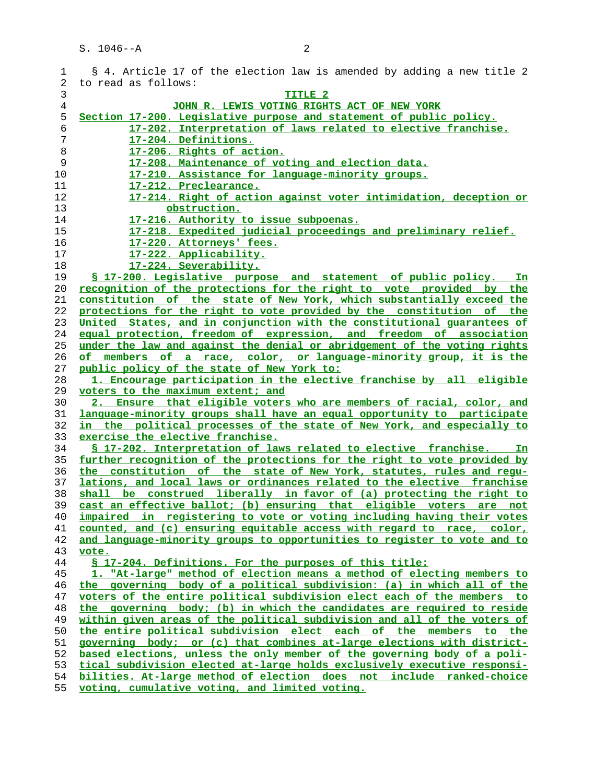| 1              | § 4. Article 17 of the election law is amended by adding a new title 2   |
|----------------|--------------------------------------------------------------------------|
| 2              | to read as follows:                                                      |
| 3              | TITLE <sub>2</sub>                                                       |
| $\overline{4}$ | JOHN R. LEWIS VOTING RIGHTS ACT OF NEW YORK                              |
| 5              | Section 17-200. Legislative purpose and statement of public policy.      |
| 6              | 17-202. Interpretation of laws related to elective franchise.            |
| $\overline{7}$ | 17-204. Definitions.                                                     |
| 8              | 17-206. Rights of action.                                                |
| 9              | 17-208. Maintenance of voting and election data.                         |
| 10             | 17-210. Assistance for language-minority groups.                         |
|                |                                                                          |
| 11             | 17-212. Preclearance.                                                    |
| 12             | 17-214. Right of action against voter intimidation, deception or         |
| 13             | obstruction.                                                             |
| 14             | 17-216. Authority to issue subpoenas.                                    |
| 15             | 17-218. Expedited judicial proceedings and preliminary relief.           |
| 16             | 17-220. Attorneys' fees.                                                 |
| 17             | 17-222. Applicability.                                                   |
| 18             | 17-224. Severability.                                                    |
| 19             | \$ 17-200. Legislative purpose and statement of public policy. In        |
| 20             | recognition of the protections for the right to vote provided by the     |
| 21             | constitution of the state of New York, which substantially exceed the    |
| 22             | protections for the right to vote provided by the constitution of the    |
| 23             | United States, and in conjunction with the constitutional guarantees of  |
| 24             | equal protection, freedom of expression, and freedom of association      |
| 25             | under the law and against the denial or abridgement of the voting rights |
| 26             | of members of a race, color, or language-minority group, it is the       |
| 27             | public policy of the state of New York to:                               |
| 28             | 1. Encourage participation in the elective franchise by all eligible     |
| 29             | voters to the maximum extent; and                                        |
| 30             | 2. Ensure that eligible voters who are members of racial, color, and     |
| 31             | language-minority groups shall have an equal opportunity to participate  |
| 32             | in the political processes of the state of New York, and especially to   |
| 33             | exercise the elective franchise.                                         |
| 34             | \$ 17-202. Interpretation of laws related to elective franchise. In      |
| 35             | further recognition of the protections for the right to vote provided by |
| 36             | the constitution of the state of New York, statutes, rules and requ-     |
|                |                                                                          |
| 37             | lations, and local laws or ordinances related to the elective franchise  |
| 38             | shall be construed liberally in favor of (a) protecting the right to     |
| 39             | cast an effective ballot; (b) ensuring that eligible voters are not      |
| 40             | impaired in registering to vote or voting including having their votes   |
| 41             | counted, and (c) ensuring equitable access with regard to race, color,   |
| 42             | and language-minority groups to opportunities to register to vote and to |
| 43             | vote.                                                                    |
| 44             | \$ 17-204. Definitions. For the purposes of this title:                  |
| 45             | 1. "At-large" method of election means a method of electing members to   |
| 46             | the governing body of a political subdivision: (a) in which all of the   |
| 47             | voters of the entire political subdivision elect each of the members to  |
| 48             | the governing body; (b) in which the candidates are required to reside   |
| 49             | within given areas of the political subdivision and all of the voters of |
| 50             | the entire political subdivision elect each of the members to the        |
| 51             | governing body; or (c) that combines at-large elections with district-   |
| 52             | based elections, unless the only member of the governing body of a poli- |
| 53             | tical subdivision elected at-large holds exclusively executive responsi- |
| 54             | bilities. At-large method of election does not include ranked-choice     |
|                | المسافر ومعادية والمسافرة المستمر السما                                  |

**voting, cumulative voting, and limited voting.**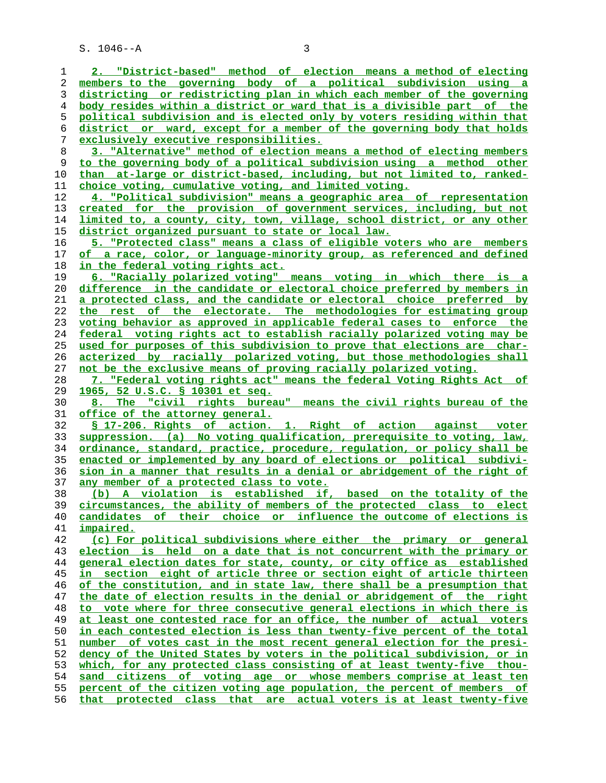**2. "District-based" method of election means a method of electing members to the governing body of a political subdivision using a districting or redistricting plan in which each member of the governing body resides within a district or ward that is a divisible part of the political subdivision and is elected only by voters residing within that district or ward, except for a member of the governing body that holds exclusively executive responsibilities. 3. "Alternative" method of election means a method of electing members to the governing body of a political subdivision using a method other than at-large or district-based, including, but not limited to, ranked- choice voting, cumulative voting, and limited voting. 4. "Political subdivision" means a geographic area of representation created for the provision of government services, including, but not limited to, a county, city, town, village, school district, or any other district organized pursuant to state or local law. 5. "Protected class" means a class of eligible voters who are members of a race, color, or language-minority group, as referenced and defined in the federal voting rights act. 6. "Racially polarized voting" means voting in which there is a difference in the candidate or electoral choice preferred by members in a protected class, and the candidate or electoral choice preferred by the rest of the electorate. The methodologies for estimating group voting behavior as approved in applicable federal cases to enforce the federal voting rights act to establish racially polarized voting may be used for purposes of this subdivision to prove that elections are char- acterized by racially polarized voting, but those methodologies shall not be the exclusive means of proving racially polarized voting. 7. "Federal voting rights act" means the federal Voting Rights Act of 1965, 52 U.S.C. § 10301 et seq. 8. The "civil rights bureau" means the civil rights bureau of the office of the attorney general. § 17-206. Rights of action. 1. Right of action against voter suppression. (a) No voting qualification, prerequisite to voting, law, ordinance, standard, practice, procedure, regulation, or policy shall be enacted or implemented by any board of elections or political subdivi- sion in a manner that results in a denial or abridgement of the right of any member of a protected class to vote. (b) A violation is established if, based on the totality of the circumstances, the ability of members of the protected class to elect candidates of their choice or influence the outcome of elections is impaired. (c) For political subdivisions where either the primary or general election is held on a date that is not concurrent with the primary or general election dates for state, county, or city office as established in section eight of article three or section eight of article thirteen of the constitution, and in state law, there shall be a presumption that the date of election results in the denial or abridgement of the right to vote where for three consecutive general elections in which there is at least one contested race for an office, the number of actual voters in each contested election is less than twenty-five percent of the total number of votes cast in the most recent general election for the presi- dency of the United States by voters in the political subdivision, or in which, for any protected class consisting of at least twenty-five thou- sand citizens of voting age or whose members comprise at least ten percent of the citizen voting age population, the percent of members of that protected class that are actual voters is at least twenty-five**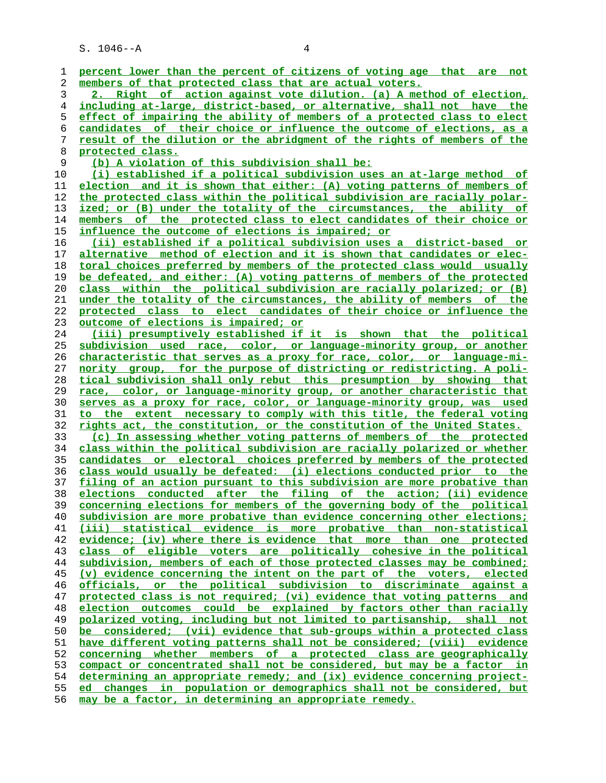| ı  | percent lower than the percent of citizens of voting age that are not      |
|----|----------------------------------------------------------------------------|
| 2  | members of that protected class that are actual voters.                    |
| 3  | Right of action against vote dilution. (a) A method of election,           |
| 4  | including at-large, district-based, or alternative, shall not have the     |
| 5  | effect of impairing the ability of members of a protected class to elect   |
| 6  | candidates of their choice or influence the outcome of elections, as a     |
| 7  | result of the dilution or the abridgment of the rights of members of the   |
| 8  | protected class.                                                           |
| 9  | (b) A violation of this subdivision shall be:                              |
| 10 | (i) established if a political subdivision uses an at-large method of      |
| 11 | election and it is shown that either: (A) voting patterns of members of    |
| 12 | the protected class within the political subdivision are racially polar-   |
| 13 | ized; or (B) under the totality of the circumstances, the ability of       |
| 14 | members of the protected class to elect candidates of their choice or      |
| 15 | influence the outcome of elections is impaired; or                         |
| 16 | (ii) established if a political subdivision uses a district-based or       |
| 17 | alternative method of election and it is shown that candidates or elec-    |
| 18 | toral choices preferred by members of the protected class would usually    |
| 19 | be defeated, and either: (A) voting patterns of members of the protected   |
| 20 | class within the political subdivision are racially polarized; or (B)      |
| 21 | under the totality of the circumstances, the ability of members of the     |
| 22 | protected class to elect candidates of their choice or influence the       |
| 23 | outcome of elections is impaired; or                                       |
| 24 | (iii) presumptively established if it is shown that the political          |
| 25 | subdivision used race, color, or language-minority group, or another       |
| 26 | characteristic that serves as a proxy for race, color, or language-mi-     |
| 27 | nority group, for the purpose of districting or redistricting. A poli-     |
| 28 | tical subdivision shall only rebut this presumption by showing that        |
| 29 | race, color, or language-minority group, or another characteristic that    |
| 30 | serves as a proxy for race, color, or language-minority group, was used    |
| 31 | to the extent necessary to comply with this title, the federal voting      |
| 32 | rights act, the constitution, or the constitution of the United States.    |
| 33 | (c) In assessing whether voting patterns of members of the protected       |
| 34 | class within the political subdivision are racially polarized or whether   |
| 35 | candidates or electoral choices preferred by members of the protected      |
| 36 | class would usually be defeated: (i) elections conducted prior to the      |
| 37 | filing of an action pursuant to this subdivision are more probative than   |
| 38 | elections conducted after the filing of the action; (ii) evidence          |
| 39 | concerning elections for members of the governing body of the political    |
| 40 | subdivision are more probative than evidence concerning other elections;   |
| 41 | (iii) statistical evidence is more probative than non-statistical          |
| 42 | evidence; (iv) where there is evidence that more than one protected        |
| 43 | of eligible voters are politically cohesive in the political<br>class      |
| 44 | subdivision, members of each of those protected classes may be combined;   |
| 45 | (v) evidence concerning the intent on the part of the voters, elected      |
| 46 | officials, or the political subdivision to discriminate against a          |
| 47 | protected class is not required; (vi) evidence that voting patterns and    |
| 48 | election outcomes could be explained by factors other than racially        |
| 49 | polarized voting, including but not limited to partisanship, shall not     |
| 50 | considered; (vii) evidence that sub-groups within a protected class<br>be  |
| 51 | have different voting patterns shall not be considered; (viii)<br>evidence |
| 52 | concerning whether members of a protected class are geographically         |
| 53 | compact or concentrated shall not be considered, but may be a factor in    |
| 54 | determining an appropriate remedy; and (ix) evidence concerning project-   |
| 55 | changes in population or demographics shall not be considered, but<br>ed.  |
| 56 | may be a factor, in determining an appropriate remedy.                     |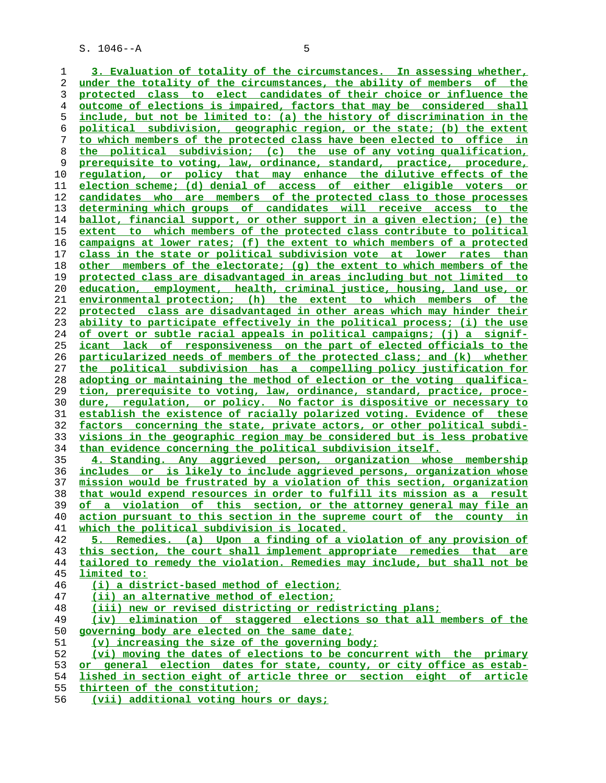**3. Evaluation of totality of the circumstances. In assessing whether, under the totality of the circumstances, the ability of members of the protected class to elect candidates of their choice or influence the outcome of elections is impaired, factors that may be considered shall include, but not be limited to: (a) the history of discrimination in the political subdivision, geographic region, or the state; (b) the extent to which members of the protected class have been elected to office in the political subdivision; (c) the use of any voting qualification, prerequisite to voting, law, ordinance, standard, practice, procedure, regulation, or policy that may enhance the dilutive effects of the election scheme; (d) denial of access of either eligible voters or candidates who are members of the protected class to those processes determining which groups of candidates will receive access to the ballot, financial support, or other support in a given election; (e) the extent to which members of the protected class contribute to political campaigns at lower rates; (f) the extent to which members of a protected class in the state or political subdivision vote at lower rates than other members of the electorate; (g) the extent to which members of the protected class are disadvantaged in areas including but not limited to education, employment, health, criminal justice, housing, land use, or environmental protection; (h) the extent to which members of the protected class are disadvantaged in other areas which may hinder their ability to participate effectively in the political process; (i) the use of overt or subtle racial appeals in political campaigns; (j) a signif- icant lack of responsiveness on the part of elected officials to the particularized needs of members of the protected class; and (k) whether the political subdivision has a compelling policy justification for adopting or maintaining the method of election or the voting qualifica- tion, prerequisite to voting, law, ordinance, standard, practice, proce- dure, regulation, or policy. No factor is dispositive or necessary to establish the existence of racially polarized voting. Evidence of these factors concerning the state, private actors, or other political subdi- visions in the geographic region may be considered but is less probative than evidence concerning the political subdivision itself. 4. Standing. Any aggrieved person, organization whose membership includes or is likely to include aggrieved persons, organization whose mission would be frustrated by a violation of this section, organization that would expend resources in order to fulfill its mission as a result of a violation of this section, or the attorney general may file an action pursuant to this section in the supreme court of the county in which the political subdivision is located. 5. Remedies. (a) Upon a finding of a violation of any provision of this section, the court shall implement appropriate remedies that are tailored to remedy the violation. Remedies may include, but shall not be limited to: (i) a district-based method of election; (ii) an alternative method of election; (iii) new or revised districting or redistricting plans; (iv) elimination of staggered elections so that all members of the governing body are elected on the same date; (v) increasing the size of the governing body; (vi) moving the dates of elections to be concurrent with the primary or general election dates for state, county, or city office as estab- lished in section eight of article three or section eight of article thirteen of the constitution;**

**(vii) additional voting hours or days;**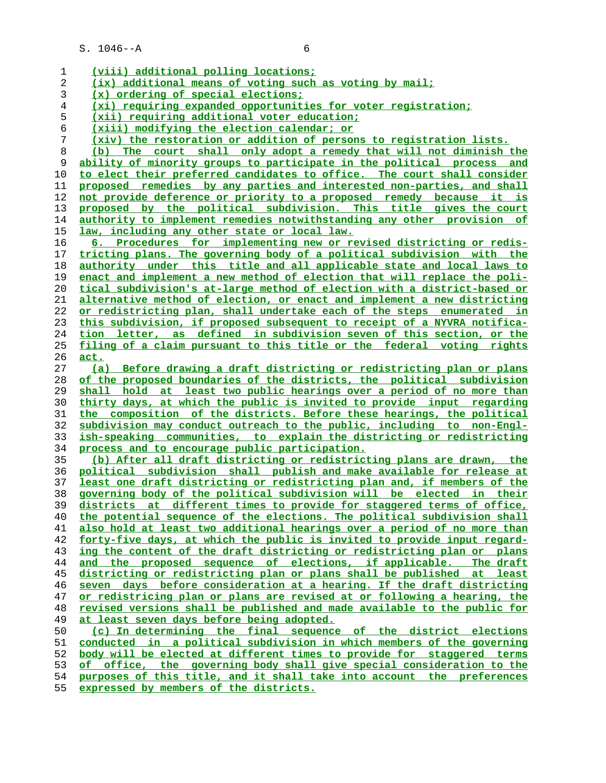| 1  | (viii) additional polling locations;                                            |
|----|---------------------------------------------------------------------------------|
| 2  | (ix) additional means of voting such as voting by mail;                         |
| 3  | (x) ordering of special elections;                                              |
| 4  | (xi) requiring expanded opportunities for voter registration;                   |
| 5  | <u>(xii) requiring additional voter education;</u>                              |
| 6  | (xiii) modifying the election calendar; or                                      |
| 7  | (xiv) the restoration or addition of persons to registration lists.             |
| 8  | The court shall only adopt a remedy that will not diminish the<br>(b)           |
| 9  | ability of minority groups to participate in the political process and          |
| 10 | to elect their preferred candidates to office. The court shall consider         |
| 11 | proposed remedies by any parties and interested non-parties, and shall          |
| 12 | not provide deference or priority to a proposed remedy because it is            |
| 13 | proposed by the political subdivision. This title gives the court               |
| 14 | authority to implement remedies notwithstanding any other provision of          |
| 15 | <u>law, including any other state or local law.</u>                             |
| 16 | 6. Procedures for implementing new or revised districting or redis-             |
| 17 | tricting plans. The governing body of a political subdivision with the          |
| 18 | authority under this title and all applicable state and local laws to           |
| 19 | enact and implement a new method of election that will replace the poli-        |
| 20 | tical subdivision's at-large method of election with a district-based or        |
| 21 | <u>alternative method of election, or enact and implement a new districting</u> |
| 22 | or redistricting plan, shall undertake each of the steps enumerated in          |
| 23 | this subdivision, if proposed subsequent to receipt of a NYVRA notifica-        |
| 24 | tion letter, as defined in subdivision seven of this section, or the            |
| 25 | filing of a claim pursuant to this title or the federal voting rights           |
| 26 | <u>act.</u>                                                                     |
| 27 | (a) Before drawing a draft districting or redistricting plan or plans           |
| 28 | of the proposed boundaries of the districts, the political subdivision          |
| 29 | shall hold at least two public hearings over a period of no more than           |
| 30 | thirty days, at which the public is invited to provide input regarding          |
| 31 | the composition of the districts. Before these hearings, the political          |
| 32 | subdivision may conduct outreach to the public, including to non-Engl-          |
| 33 | ish-speaking communities, to explain the districting or redistricting           |
| 34 | process and to encourage public participation.                                  |
| 35 | (b) After all draft districting or redistricting plans are drawn, the           |
| 36 | political subdivision shall publish and make available for release at           |
| 37 | least one draft districting or redistricting plan and, if members of the        |
| 38 | governing body of the political subdivision will be elected in their            |
| 39 | districts at different times to provide for staggered terms of office,          |
| 40 | the potential sequence of the elections. The political subdivision shall        |
| 41 | also hold at least two additional hearings over a period of no more than        |
| 42 | forty-five days, at which the public is invited to provide input regard-        |
| 43 | ing the content of the draft districting or redistricting plan or plans         |
| 44 | and the proposed sequence of elections, if applicable. The draft                |
| 45 | districting or redistricting plan or plans shall be published at least          |
| 46 | seven days before consideration at a hearing. If the draft districting          |
| 47 | or redistricing plan or plans are revised at or following a hearing, the        |
| 48 | revised versions shall be published and made available to the public for        |
| 49 | at least seven days before being adopted.                                       |
| 50 | (c) In determining the final sequence of the district elections                 |
| 51 | conducted in a political subdivision in which members of the governing          |
| 52 | body will be elected at different times to provide for staggered terms          |
| 53 | of office, the governing body shall give special consideration to the           |
| 54 | purposes of this title, and it shall take into account the preferences          |

**expressed by members of the districts.**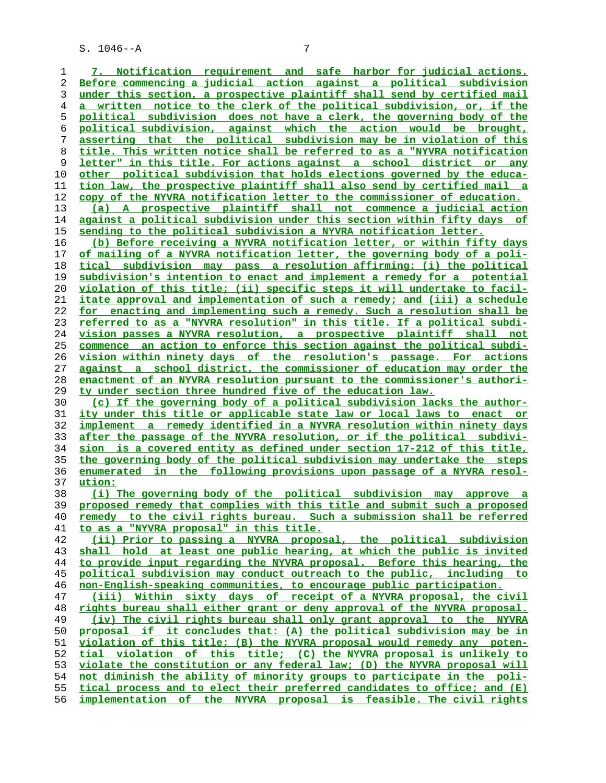**7. Notification requirement and safe harbor for judicial actions. Before commencing a judicial action against a political subdivision under this section, a prospective plaintiff shall send by certified mail a written notice to the clerk of the political subdivision, or, if the political subdivision does not have a clerk, the governing body of the political subdivision, against which the action would be brought, asserting that the political subdivision may be in violation of this title. This written notice shall be referred to as a "NYVRA notification letter" in this title. For actions against a school district or any other political subdivision that holds elections governed by the educa- tion law, the prospective plaintiff shall also send by certified mail a copy of the NYVRA notification letter to the commissioner of education. (a) A prospective plaintiff shall not commence a judicial action against a political subdivision under this section within fifty days of sending to the political subdivision a NYVRA notification letter. (b) Before receiving a NYVRA notification letter, or within fifty days of mailing of a NYVRA notification letter, the governing body of a poli- tical subdivision may pass a resolution affirming: (i) the political subdivision's intention to enact and implement a remedy for a potential violation of this title; (ii) specific steps it will undertake to facil- itate approval and implementation of such a remedy; and (iii) a schedule for enacting and implementing such a remedy. Such a resolution shall be referred to as a "NYVRA resolution" in this title. If a political subdi- vision passes a NYVRA resolution, a prospective plaintiff shall not commence an action to enforce this section against the political subdi- vision within ninety days of the resolution's passage. For actions against a school district, the commissioner of education may order the enactment of an NYVRA resolution pursuant to the commissioner's authori- ty under section three hundred five of the education law. (c) If the governing body of a political subdivision lacks the author- ity under this title or applicable state law or local laws to enact or implement a remedy identified in a NYVRA resolution within ninety days after the passage of the NYVRA resolution, or if the political subdivi- sion is a covered entity as defined under section 17-212 of this title, the governing body of the political subdivision may undertake the steps enumerated in the following provisions upon passage of a NYVRA resol- ution: (i) The governing body of the political subdivision may approve a proposed remedy that complies with this title and submit such a proposed remedy to the civil rights bureau. Such a submission shall be referred to as a "NYVRA proposal" in this title. (ii) Prior to passing a NYVRA proposal, the political subdivision shall hold at least one public hearing, at which the public is invited to provide input regarding the NYVRA proposal. Before this hearing, the political subdivision may conduct outreach to the public, including to non-English-speaking communities, to encourage public participation. (iii) Within sixty days of receipt of a NYVRA proposal, the civil rights bureau shall either grant or deny approval of the NYVRA proposal. (iv) The civil rights bureau shall only grant approval to the NYVRA proposal if it concludes that: (A) the political subdivision may be in violation of this title; (B) the NYVRA proposal would remedy any poten- tial violation of this title; (C) the NYVRA proposal is unlikely to violate the constitution or any federal law; (D) the NYVRA proposal will not diminish the ability of minority groups to participate in the poli- tical process and to elect their preferred candidates to office; and (E) implementation of the NYVRA proposal is feasible. The civil rights**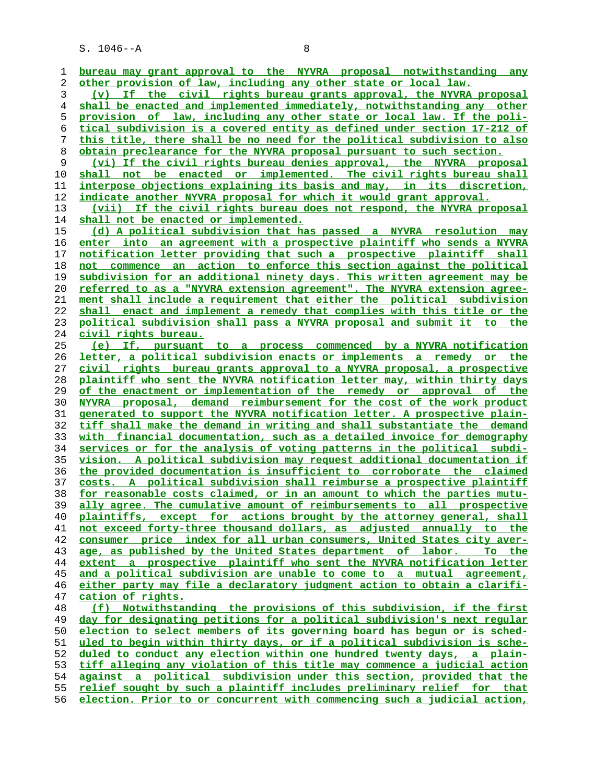$S. 1046 - A$  8

**bureau may grant approval to the NYVRA proposal notwithstanding any other provision of law, including any other state or local law. (v) If the civil rights bureau grants approval, the NYVRA proposal shall be enacted and implemented immediately, notwithstanding any other provision of law, including any other state or local law. If the poli- tical subdivision is a covered entity as defined under section 17-212 of this title, there shall be no need for the political subdivision to also obtain preclearance for the NYVRA proposal pursuant to such section. (vi) If the civil rights bureau denies approval, the NYVRA proposal shall not be enacted or implemented. The civil rights bureau shall interpose objections explaining its basis and may, in its discretion, indicate another NYVRA proposal for which it would grant approval. (vii) If the civil rights bureau does not respond, the NYVRA proposal shall not be enacted or implemented. (d) A political subdivision that has passed a NYVRA resolution may enter into an agreement with a prospective plaintiff who sends a NYVRA notification letter providing that such a prospective plaintiff shall not commence an action to enforce this section against the political subdivision for an additional ninety days. This written agreement may be referred to as a "NYVRA extension agreement". The NYVRA extension agree- ment shall include a requirement that either the political subdivision shall enact and implement a remedy that complies with this title or the political subdivision shall pass a NYVRA proposal and submit it to the civil rights bureau. (e) If, pursuant to a process commenced by a NYVRA notification letter, a political subdivision enacts or implements a remedy or the civil rights bureau grants approval to a NYVRA proposal, a prospective plaintiff who sent the NYVRA notification letter may, within thirty days of the enactment or implementation of the remedy or approval of the NYVRA proposal, demand reimbursement for the cost of the work product generated to support the NYVRA notification letter. A prospective plain- tiff shall make the demand in writing and shall substantiate the demand with financial documentation, such as a detailed invoice for demography services or for the analysis of voting patterns in the political subdi- vision. A political subdivision may request additional documentation if the provided documentation is insufficient to corroborate the claimed costs. A political subdivision shall reimburse a prospective plaintiff for reasonable costs claimed, or in an amount to which the parties mutu- ally agree. The cumulative amount of reimbursements to all prospective plaintiffs, except for actions brought by the attorney general, shall not exceed forty-three thousand dollars, as adjusted annually to the consumer price index for all urban consumers, United States city aver- age, as published by the United States department of labor. To the extent a prospective plaintiff who sent the NYVRA notification letter and a political subdivision are unable to come to a mutual agreement, either party may file a declaratory judgment action to obtain a clarifi- cation of rights. (f) Notwithstanding the provisions of this subdivision, if the first day for designating petitions for a political subdivision's next regular election to select members of its governing board has begun or is sched- uled to begin within thirty days, or if a political subdivision is sche- duled to conduct any election within one hundred twenty days, a plain- tiff alleging any violation of this title may commence a judicial action against a political subdivision under this section, provided that the relief sought by such a plaintiff includes preliminary relief for that election. Prior to or concurrent with commencing such a judicial action,**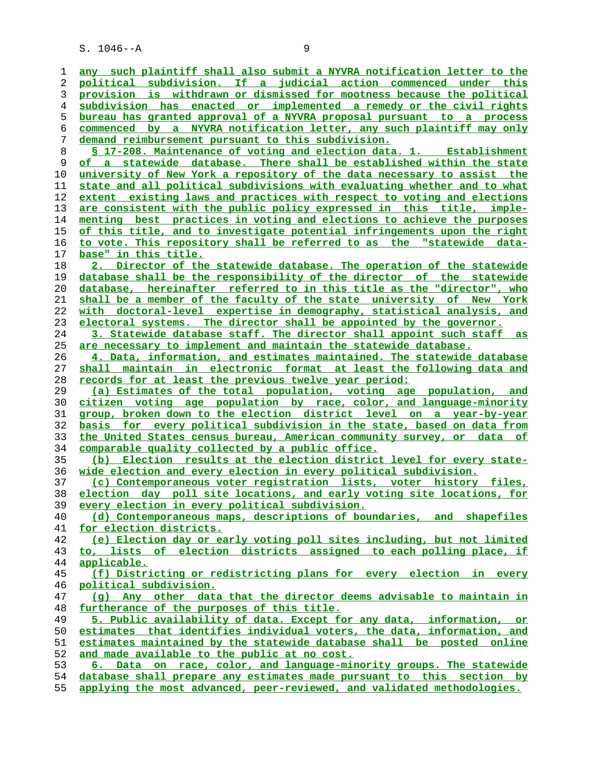**any such plaintiff shall also submit a NYVRA notification letter to the political subdivision. If a judicial action commenced under this provision is withdrawn or dismissed for mootness because the political subdivision has enacted or implemented a remedy or the civil rights bureau has granted approval of a NYVRA proposal pursuant to a process commenced by a NYVRA notification letter, any such plaintiff may only demand reimbursement pursuant to this subdivision. § 17-208. Maintenance of voting and election data. 1. Establishment of a statewide database. There shall be established within the state university of New York a repository of the data necessary to assist the state and all political subdivisions with evaluating whether and to what extent existing laws and practices with respect to voting and elections are consistent with the public policy expressed in this title, imple- menting best practices in voting and elections to achieve the purposes of this title, and to investigate potential infringements upon the right to vote. This repository shall be referred to as the "statewide data- base" in this title. 2. Director of the statewide database. The operation of the statewide database shall be the responsibility of the director of the statewide database, hereinafter referred to in this title as the "director", who shall be a member of the faculty of the state university of New York with doctoral-level expertise in demography, statistical analysis, and electoral systems. The director shall be appointed by the governor. 3. Statewide database staff. The director shall appoint such staff as are necessary to implement and maintain the statewide database. 4. Data, information, and estimates maintained. The statewide database shall maintain in electronic format at least the following data and records for at least the previous twelve year period: (a) Estimates of the total population, voting age population, and citizen voting age population by race, color, and language-minority group, broken down to the election district level on a year-by-year basis for every political subdivision in the state, based on data from the United States census bureau, American community survey, or data of comparable quality collected by a public office. (b) Election results at the election district level for every state- wide election and every election in every political subdivision. (c) Contemporaneous voter registration lists, voter history files, election day poll site locations, and early voting site locations, for every election in every political subdivision. (d) Contemporaneous maps, descriptions of boundaries, and shapefiles for election districts. (e) Election day or early voting poll sites including, but not limited to, lists of election districts assigned to each polling place, if applicable. (f) Districting or redistricting plans for every election in every political subdivision. (g) Any other data that the director deems advisable to maintain in furtherance of the purposes of this title. 5. Public availability of data. Except for any data, information, or estimates that identifies individual voters, the data, information, and estimates maintained by the statewide database shall be posted online and made available to the public at no cost. 6. Data on race, color, and language-minority groups. The statewide database shall prepare any estimates made pursuant to this section by applying the most advanced, peer-reviewed, and validated methodologies.**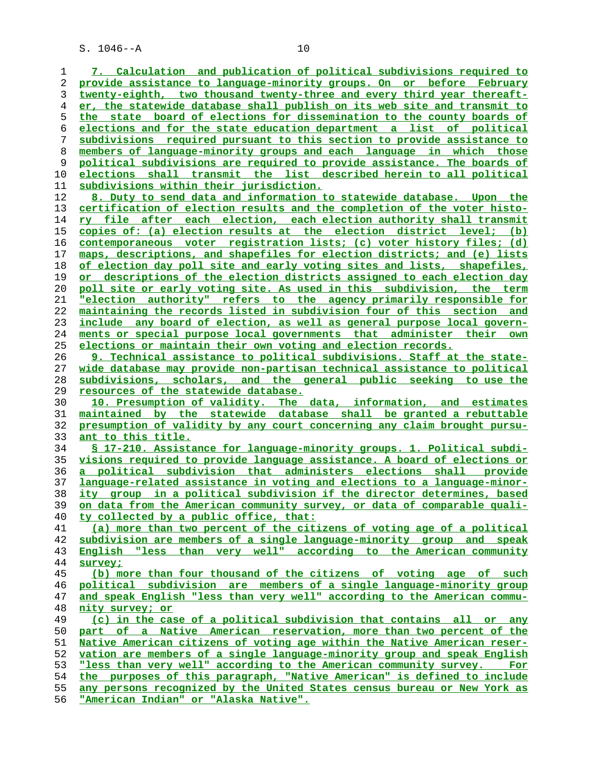**7. Calculation and publication of political subdivisions required to provide assistance to language-minority groups. On or before February twenty-eighth, two thousand twenty-three and every third year thereaft- er, the statewide database shall publish on its web site and transmit to the state board of elections for dissemination to the county boards of elections and for the state education department a list of political subdivisions required pursuant to this section to provide assistance to members of language-minority groups and each language in which those political subdivisions are required to provide assistance. The boards of elections shall transmit the list described herein to all political subdivisions within their jurisdiction. 8. Duty to send data and information to statewide database. Upon the certification of election results and the completion of the voter histo- ry file after each election, each election authority shall transmit copies of: (a) election results at the election district level; (b) contemporaneous voter registration lists; (c) voter history files; (d) maps, descriptions, and shapefiles for election districts; and (e) lists of election day poll site and early voting sites and lists, shapefiles, or descriptions of the election districts assigned to each election day poll site or early voting site. As used in this subdivision, the term "election authority" refers to the agency primarily responsible for maintaining the records listed in subdivision four of this section and include any board of election, as well as general purpose local govern- ments or special purpose local governments that administer their own elections or maintain their own voting and election records. 9. Technical assistance to political subdivisions. Staff at the state-**

**wide database may provide non-partisan technical assistance to political subdivisions, scholars, and the general public seeking to use the resources of the statewide database.**

**10. Presumption of validity. The data, information, and estimates maintained by the statewide database shall be granted a rebuttable presumption of validity by any court concerning any claim brought pursu- ant to this title.**

**§ 17-210. Assistance for language-minority groups. 1. Political subdi- visions required to provide language assistance. A board of elections or a political subdivision that administers elections shall provide language-related assistance in voting and elections to a language-minor- ity group in a political subdivision if the director determines, based on data from the American community survey, or data of comparable quali- ty collected by a public office, that: (a) more than two percent of the citizens of voting age of a political subdivision are members of a single language-minority group and speak**

**English "less than very well" according to the American community survey;**

**(b) more than four thousand of the citizens of voting age of such political subdivision are members of a single language-minority group and speak English "less than very well" according to the American commu- nity survey; or**

**(c) in the case of a political subdivision that contains all or any part of a Native American reservation, more than two percent of the Native American citizens of voting age within the Native American reser- vation are members of a single language-minority group and speak English "less than very well" according to the American community survey. For the purposes of this paragraph, "Native American" is defined to include any persons recognized by the United States census bureau or New York as "American Indian" or "Alaska Native".**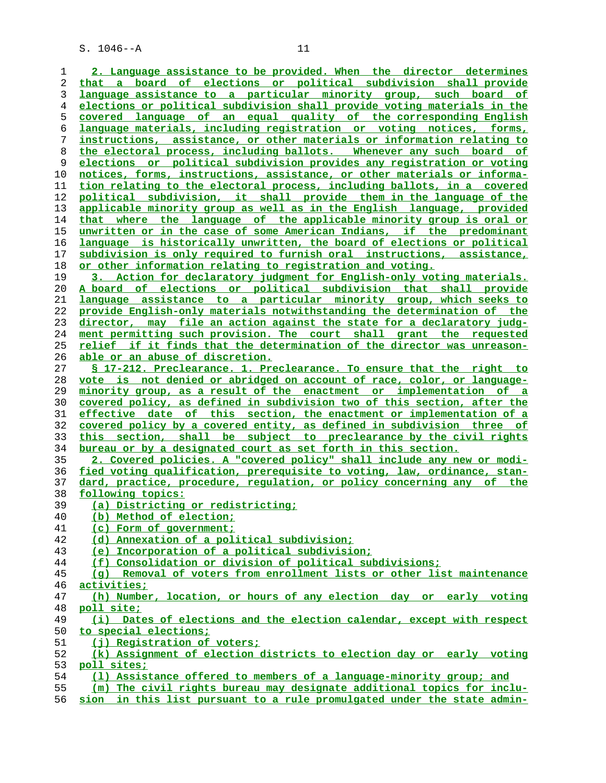**2. Language assistance to be provided. When the director determines that a board of elections or political subdivision shall provide language assistance to a particular minority group, such board of elections or political subdivision shall provide voting materials in the covered language of an equal quality of the corresponding English language materials, including registration or voting notices, forms, instructions, assistance, or other materials or information relating to the electoral process, including ballots. Whenever any such board of elections or political subdivision provides any registration or voting notices, forms, instructions, assistance, or other materials or informa- tion relating to the electoral process, including ballots, in a covered political subdivision, it shall provide them in the language of the applicable minority group as well as in the English language, provided that where the language of the applicable minority group is oral or unwritten or in the case of some American Indians, if the predominant language is historically unwritten, the board of elections or political subdivision is only required to furnish oral instructions, assistance, or other information relating to registration and voting. 3. Action for declaratory judgment for English-only voting materials. A board of elections or political subdivision that shall provide language assistance to a particular minority group, which seeks to provide English-only materials notwithstanding the determination of the director, may file an action against the state for a declaratory judg- ment permitting such provision. The court shall grant the requested relief if it finds that the determination of the director was unreason- able or an abuse of discretion. § 17-212. Preclearance. 1. Preclearance. To ensure that the right to vote is not denied or abridged on account of race, color, or language- minority group, as a result of the enactment or implementation of a covered policy, as defined in subdivision two of this section, after the effective date of this section, the enactment or implementation of a covered policy by a covered entity, as defined in subdivision three of this section, shall be subject to preclearance by the civil rights bureau or by a designated court as set forth in this section. 2. Covered policies. A "covered policy" shall include any new or modi- fied voting qualification, prerequisite to voting, law, ordinance, stan- dard, practice, procedure, regulation, or policy concerning any of the following topics: (a) Districting or redistricting; (b) Method of election; (c) Form of government; (d) Annexation of a political subdivision; (e) Incorporation of a political subdivision; (f) Consolidation or division of political subdivisions; (g) Removal of voters from enrollment lists or other list maintenance activities;**

**(h) Number, location, or hours of any election day or early voting poll site;**

**(i) Dates of elections and the election calendar, except with respect to special elections;**

**(j) Registration of voters;**

**(k) Assignment of election districts to election day or early voting poll sites;**

**(l) Assistance offered to members of a language-minority group; and**

**(m) The civil rights bureau may designate additional topics for inclu-**

**sion in this list pursuant to a rule promulgated under the state admin-**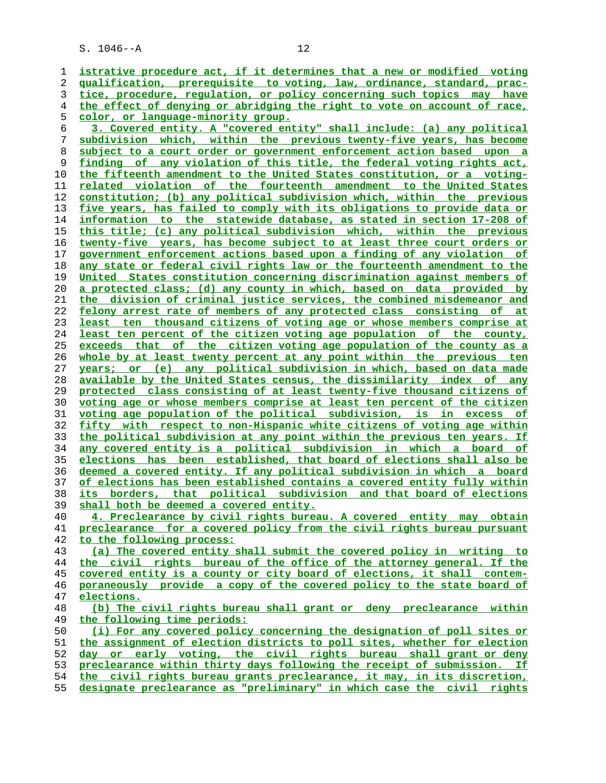**istrative procedure act, if it determines that a new or modified voting qualification, prerequisite to voting, law, ordinance, standard, prac- tice, procedure, regulation, or policy concerning such topics may have the effect of denying or abridging the right to vote on account of race, color, or language-minority group. 3. Covered entity. A "covered entity" shall include: (a) any political subdivision which, within the previous twenty-five years, has become subject to a court order or government enforcement action based upon a finding of any violation of this title, the federal voting rights act, the fifteenth amendment to the United States constitution, or a voting- related violation of the fourteenth amendment to the United States constitution; (b) any political subdivision which, within the previous five years, has failed to comply with its obligations to provide data or information to the statewide database, as stated in section 17-208 of this title; (c) any political subdivision which, within the previous twenty-five years, has become subject to at least three court orders or government enforcement actions based upon a finding of any violation of any state or federal civil rights law or the fourteenth amendment to the United States constitution concerning discrimination against members of a protected class; (d) any county in which, based on data provided by the division of criminal justice services, the combined misdemeanor and felony arrest rate of members of any protected class consisting of at least ten thousand citizens of voting age or whose members comprise at least ten percent of the citizen voting age population of the county, exceeds that of the citizen voting age population of the county as a whole by at least twenty percent at any point within the previous ten years; or (e) any political subdivision in which, based on data made available by the United States census, the dissimilarity index of any protected class consisting of at least twenty-five thousand citizens of voting age or whose members comprise at least ten percent of the citizen voting age population of the political subdivision, is in excess of fifty with respect to non-Hispanic white citizens of voting age within the political subdivision at any point within the previous ten years. If any covered entity is a political subdivision in which a board of elections has been established, that board of elections shall also be deemed a covered entity. If any political subdivision in which a board of elections has been established contains a covered entity fully within its borders, that political subdivision and that board of elections shall both be deemed a covered entity. 4. Preclearance by civil rights bureau. A covered entity may obtain preclearance for a covered policy from the civil rights bureau pursuant to the following process: (a) The covered entity shall submit the covered policy in writing to the civil rights bureau of the office of the attorney general. If the covered entity is a county or city board of elections, it shall contem- poraneously provide a copy of the covered policy to the state board of elections. (b) The civil rights bureau shall grant or deny preclearance within the following time periods: (i) For any covered policy concerning the designation of poll sites or the assignment of election districts to poll sites, whether for election day or early voting, the civil rights bureau shall grant or deny preclearance within thirty days following the receipt of submission. If**<br>54 **the civil rights bureau grants preclearance, it may, in its discretion, the civil rights bureau grants preclearance, it may, in its discretion,**

**designate preclearance as "preliminary" in which case the civil rights**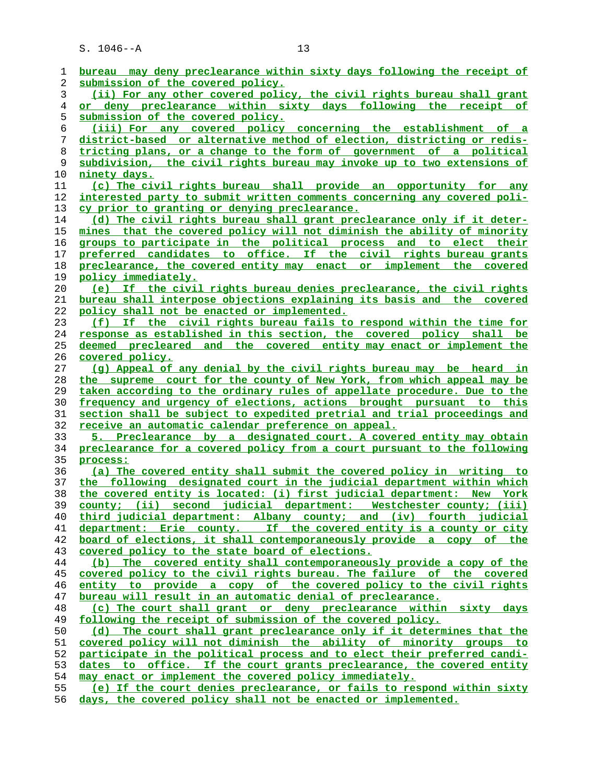| 1  | bureau may deny preclearance within sixty days following the receipt of  |
|----|--------------------------------------------------------------------------|
| 2  | submission of the covered policy.                                        |
| 3  | (ii) For any other covered policy, the civil rights bureau shall grant   |
| 4  | or deny preclearance within sixty days following the receipt of          |
| 5  | submission of the covered policy.                                        |
| 6  | (iii) For any covered policy concerning the establishment of a           |
| 7  | district-based or alternative method of election, districting or redis-  |
| 8  | tricting plans, or a change to the form of government of a political     |
| 9  | subdivision, the civil rights bureau may invoke up to two extensions of  |
| 10 | ninety days.                                                             |
| 11 | (c) The civil rights bureau shall provide an opportunity for any         |
| 12 | interested party to submit written comments concerning any covered poli- |
| 13 | cy prior to granting or denying preclearance.                            |
| 14 | (d) The civil rights bureau shall grant preclearance only if it deter-   |
| 15 | mines that the covered policy will not diminish the ability of minority  |
| 16 | groups to participate in the political process and to elect their        |
|    | preferred candidates to office. If the civil rights bureau grants        |
| 17 |                                                                          |
| 18 | preclearance, the covered entity may enact or implement the covered      |
| 19 | policy immediately.                                                      |
| 20 | (e) If the civil rights bureau denies preclearance, the civil rights     |
| 21 | bureau shall interpose objections explaining its basis and the covered   |
| 22 | policy shall not be enacted or implemented.                              |
| 23 | (f) If the civil rights bureau fails to respond within the time for      |
| 24 | response as established in this section, the covered policy shall be     |
| 25 | deemed precleared and the covered entity may enact or implement the      |
| 26 | covered policy.                                                          |
| 27 | (q) Appeal of any denial by the civil rights bureau may be heard in      |
| 28 | the supreme court for the county of New York, from which appeal may be   |
| 29 | taken according to the ordinary rules of appellate procedure. Due to the |
| 30 | frequency and urgency of elections, actions brought pursuant to this     |
| 31 | section shall be subject to expedited pretrial and trial proceedings and |
| 32 | receive an automatic calendar preference on appeal.                      |
| 33 | 5. Preclearance by a designated court. A covered entity may obtain       |
| 34 | preclearance for a covered policy from a court pursuant to the following |
| 35 | process:                                                                 |
|    |                                                                          |
| 36 | (a) The covered entity shall submit the covered policy in writing to     |
| 37 | the following designated court in the judicial department within which   |
| 38 | the covered entity is located: (i) first judicial department: New York   |
| 39 | county; (ii) second judicial department: Westchester county; (iii)       |
| 40 | third judicial department: Albany county; and (iv) fourth judicial       |
| 41 | department: Erie county. If the covered entity is a county or city       |
| 42 | board of elections, it shall contemporaneously provide a copy of the     |
| 43 | covered policy to the state board of elections.                          |
| 44 | (b) The covered entity shall contemporaneously provide a copy of the     |
| 45 | covered policy to the civil rights bureau. The failure of the covered    |
| 46 | entity to provide a copy of the covered policy to the civil rights       |
| 47 | bureau will result in an automatic denial of preclearance.               |
| 48 | (c) The court shall grant or deny preclearance within sixty days         |
| 49 | following the receipt of submission of the covered policy.               |
| 50 | (d) The court shall grant preclearance only if it determines that the    |
| 51 | covered policy will not diminish the ability of minority groups to       |
| 52 | participate in the political process and to elect their preferred candi- |
| 53 | dates to office. If the court grants preclearance, the covered entity    |
| 54 | may enact or implement the covered policy immediately.                   |
| 55 | (e) If the court denies preclearance, or fails to respond within sixty   |
|    |                                                                          |

**days, the covered policy shall not be enacted or implemented.**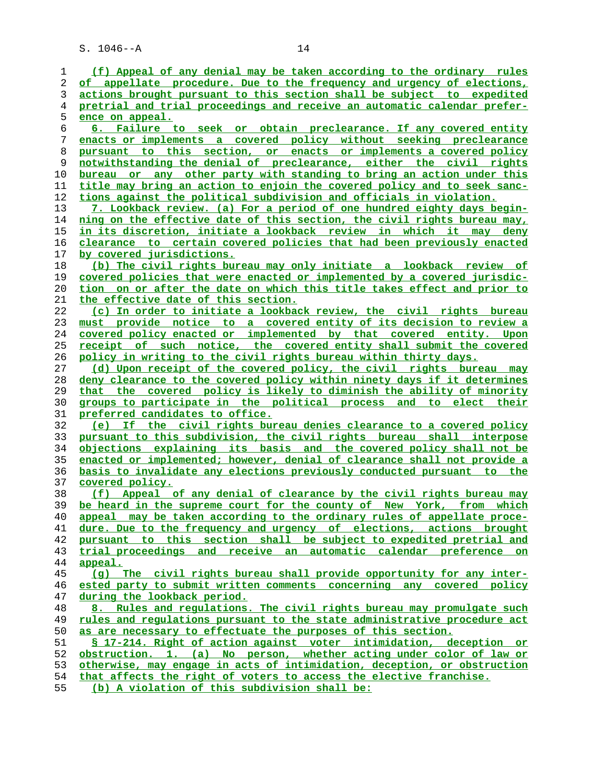| 1              | (f) Appeal of any denial may be taken according to the ordinary rules     |
|----------------|---------------------------------------------------------------------------|
| 2              | of appellate procedure. Due to the frequency and urgency of elections,    |
| 3              | actions brought pursuant to this section shall be subject to expedited    |
| $\overline{4}$ | pretrial and trial proceedings and receive an automatic calendar prefer-  |
| 5              | ence on appeal.                                                           |
| 6              | 6. Failure to seek or obtain preclearance. If any covered entity          |
| 7              | enacts or implements a covered policy without seeking preclearance        |
| 8              | pursuant to this section, or enacts or implements a covered policy        |
| 9              | notwithstanding the denial of preclearance, either the civil rights       |
| 10             | bureau or any other party with standing to bring an action under this     |
| 11             | title may bring an action to enjoin the covered policy and to seek sanc-  |
| 12             | tions against the political subdivision and officials in violation.       |
| 13             | 7. Lookback review. (a) For a period of one hundred eighty days begin-    |
| 14             | ning on the effective date of this section, the civil rights bureau may,  |
| 15             | <u>in its discretion, initiate a lookback review in which it may deny</u> |
| 16             | clearance to certain covered policies that had been previously enacted    |
| 17             | <u>by covered jurisdictions.</u>                                          |
| 18             | (b) The civil rights bureau may only initiate a lookback review of        |
| 19             | covered policies that were enacted or implemented by a covered jurisdic-  |
| 20             | tion on or after the date on which this title takes effect and prior to   |
| 21             | the effective date of this section.                                       |
| 22             | (c) In order to initiate a lookback review, the civil rights bureau       |
| 23             | must provide notice to a covered entity of its decision to review a       |
| 24             | covered policy enacted or implemented by that covered entity. Upon        |
| 25             | receipt of such notice, the covered entity shall submit the covered       |
| 26             | policy in writing to the civil rights bureau within thirty days.          |
| 27             | (d) Upon receipt of the covered policy, the civil rights bureau may       |
| 28             | deny clearance to the covered policy within ninety days if it determines  |
| 29             | that the covered policy is likely to diminish the ability of minority     |
| 30             | groups to participate in the political process and to elect their         |
| 31             | preferred candidates to office.                                           |
| 32             | (e) If the civil rights bureau denies clearance to a covered policy       |
| 33             | pursuant to this subdivision, the civil rights bureau shall interpose     |
| 34             | objections explaining its basis and the covered policy shall not be       |
| 35             | enacted or implemented; however, denial of clearance shall not provide a  |
| 36             | basis to invalidate any elections previously conducted pursuant to the    |
| 37             | covered policy.                                                           |
| 38             | (f) Appeal of any denial of clearance by the civil rights bureau may      |
| 39             | be heard in the supreme court for the county of New York, from which      |
| 40             | appeal may be taken according to the ordinary rules of appellate proce-   |
| 41             | dure. Due to the frequency and urgency of elections, actions brought      |
| 42             | pursuant to this section shall be subject to expedited pretrial and       |
| 43             | trial proceedings and receive an automatic calendar preference on         |
| 44             | appeal.                                                                   |
| 45             | (q) The civil rights bureau shall provide opportunity for any inter-      |
| 46             | ested party to submit written comments concerning any covered policy      |
| 47             | during the lookback period.                                               |
| 48             | 8. Rules and regulations. The civil rights bureau may promulgate such     |
| 49             | rules and requlations pursuant to the state administrative procedure act  |
| 50             | as are necessary to effectuate the purposes of this section.              |
| 51             | § 17-214. Right of action against voter intimidation, deception or        |
| 52             | obstruction. 1. (a) No person, whether acting under color of law or       |
| 53             | otherwise, may engage in acts of intimidation, deception, or obstruction  |
| 54             | that affects the right of voters to access the elective franchise.        |
| е е.           |                                                                           |

**(b) A violation of this subdivision shall be:**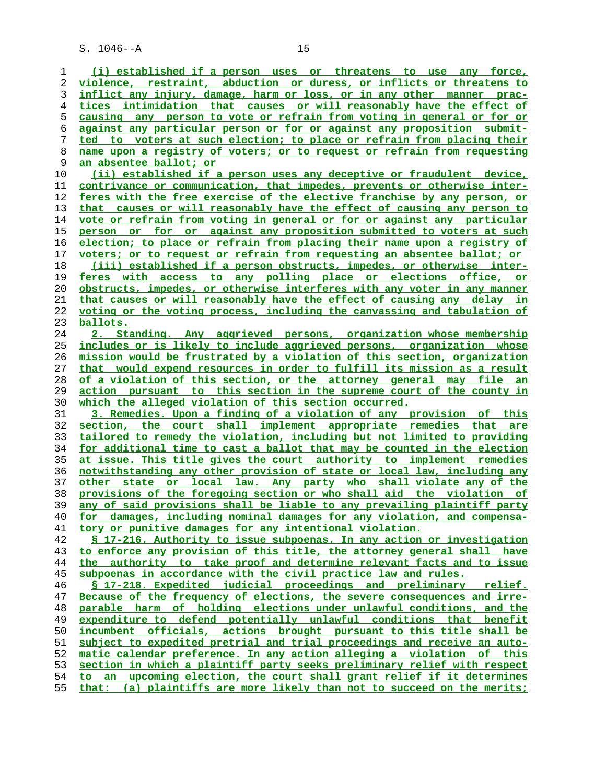**(i) established if a person uses or threatens to use any force, violence, restraint, abduction or duress, or inflicts or threatens to inflict any injury, damage, harm or loss, or in any other manner prac- tices intimidation that causes or will reasonably have the effect of causing any person to vote or refrain from voting in general or for or against any particular person or for or against any proposition submit- ted to voters at such election; to place or refrain from placing their name upon a registry of voters; or to request or refrain from requesting an absentee ballot; or (ii) established if a person uses any deceptive or fraudulent device, contrivance or communication, that impedes, prevents or otherwise inter- feres with the free exercise of the elective franchise by any person, or**

**that causes or will reasonably have the effect of causing any person to vote or refrain from voting in general or for or against any particular person or for or against any proposition submitted to voters at such election; to place or refrain from placing their name upon a registry of voters; or to request or refrain from requesting an absentee ballot; or (iii) established if a person obstructs, impedes, or otherwise inter-**

**feres with access to any polling place or elections office, or obstructs, impedes, or otherwise interferes with any voter in any manner that causes or will reasonably have the effect of causing any delay in voting or the voting process, including the canvassing and tabulation of ballots.**

**2. Standing. Any aggrieved persons, organization whose membership includes or is likely to include aggrieved persons, organization whose mission would be frustrated by a violation of this section, organization that would expend resources in order to fulfill its mission as a result of a violation of this section, or the attorney general may file an action pursuant to this section in the supreme court of the county in which the alleged violation of this section occurred.**

**3. Remedies. Upon a finding of a violation of any provision of this section, the court shall implement appropriate remedies that are tailored to remedy the violation, including but not limited to providing for additional time to cast a ballot that may be counted in the election at issue. This title gives the court authority to implement remedies notwithstanding any other provision of state or local law, including any other state or local law. Any party who shall violate any of the provisions of the foregoing section or who shall aid the violation of any of said provisions shall be liable to any prevailing plaintiff party for damages, including nominal damages for any violation, and compensa- tory or punitive damages for any intentional violation.**

**§ 17-216. Authority to issue subpoenas. In any action or investigation to enforce any provision of this title, the attorney general shall have the authority to take proof and determine relevant facts and to issue subpoenas in accordance with the civil practice law and rules.**

**§ 17-218. Expedited judicial proceedings and preliminary relief. Because of the frequency of elections, the severe consequences and irre- parable harm of holding elections under unlawful conditions, and the expenditure to defend potentially unlawful conditions that benefit incumbent officials, actions brought pursuant to this title shall be subject to expedited pretrial and trial proceedings and receive an auto- matic calendar preference. In any action alleging a violation of this section in which a plaintiff party seeks preliminary relief with respect to an upcoming election, the court shall grant relief if it determines that: (a) plaintiffs are more likely than not to succeed on the merits;**